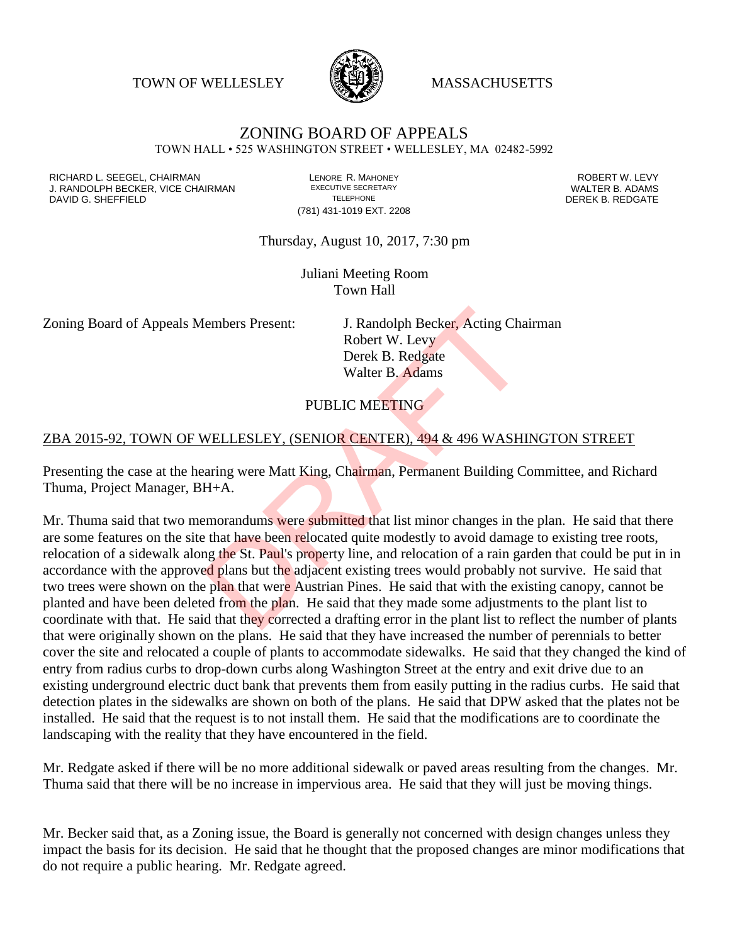TOWN OF WELLESLEY **WASSACHUSETTS** 



# ZONING BOARD OF APPEALS

TOWN HALL • 525 WASHINGTON STREET • WELLESLEY, MA 02482-5992

RICHARD L. SEEGEL, CHAIRMAN LENORE R. MAHONEY ROBERT W. LEVY J. RANDOLPH BECKER, VICE CHAIRMAN EXECUTIVE SECRETARY THE SANDOLPH BECKER B. ADAMS<br>DEREK B. REDGATE TELEPHONE THE PHONE THE SAND DEREK B. REDGATE DAVID G. SHEFFIELD

(781) 431-1019 EXT. 2208

Thursday, August 10, 2017, 7:30 pm

Juliani Meeting Room Town Hall

Zoning Board of Appeals Members Present: J. Randolph Becker, Acting Chairman

Robert W. Levy Derek B. Redgate Walter B. Adams

### PUBLIC MEETING

#### ZBA 2015-92, TOWN OF WELLESLEY, (SENIOR CENTER), 494 & 496 WASHINGTON STREET

Presenting the case at the hearing were Matt King, Chairman, Permanent Building Committee, and Richard Thuma, Project Manager, BH+A.

Mr. Thuma said that two memorandums were submitted that list minor changes in the plan. He said that there are some features on the site that have been relocated quite modestly to avoid damage to existing tree roots, relocation of a sidewalk along the St. Paul's property line, and relocation of a rain garden that could be put in in accordance with the approved plans but the adjacent existing trees would probably not survive. He said that two trees were shown on the plan that were Austrian Pines. He said that with the existing canopy, cannot be planted and have been deleted from the plan. He said that they made some adjustments to the plant list to coordinate with that. He said that they corrected a drafting error in the plant list to reflect the number of plants that were originally shown on the plans. He said that they have increased the number of perennials to better cover the site and relocated a couple of plants to accommodate sidewalks. He said that they changed the kind of entry from radius curbs to drop-down curbs along Washington Street at the entry and exit drive due to an existing underground electric duct bank that prevents them from easily putting in the radius curbs. He said that detection plates in the sidewalks are shown on both of the plans. He said that DPW asked that the plates not be installed. He said that the request is to not install them. He said that the modifications are to coordinate the landscaping with the reality that they have encountered in the field. I. Randolph Becker, Acting Cha<br>
Robert W. Levy<br>
Derek B. Redgate<br>
Walter B. Adams<br>
PUBLIC MEETING<br>
NELLESLEY, (SENIOR CENTER), 494 & 496 WASHI<br>
arring were Matt King, Chairman, Permanent Building C<br>
H+A.<br>
EMDERICAL EXECTIN

Mr. Redgate asked if there will be no more additional sidewalk or paved areas resulting from the changes. Mr. Thuma said that there will be no increase in impervious area. He said that they will just be moving things.

Mr. Becker said that, as a Zoning issue, the Board is generally not concerned with design changes unless they impact the basis for its decision. He said that he thought that the proposed changes are minor modifications that do not require a public hearing. Mr. Redgate agreed.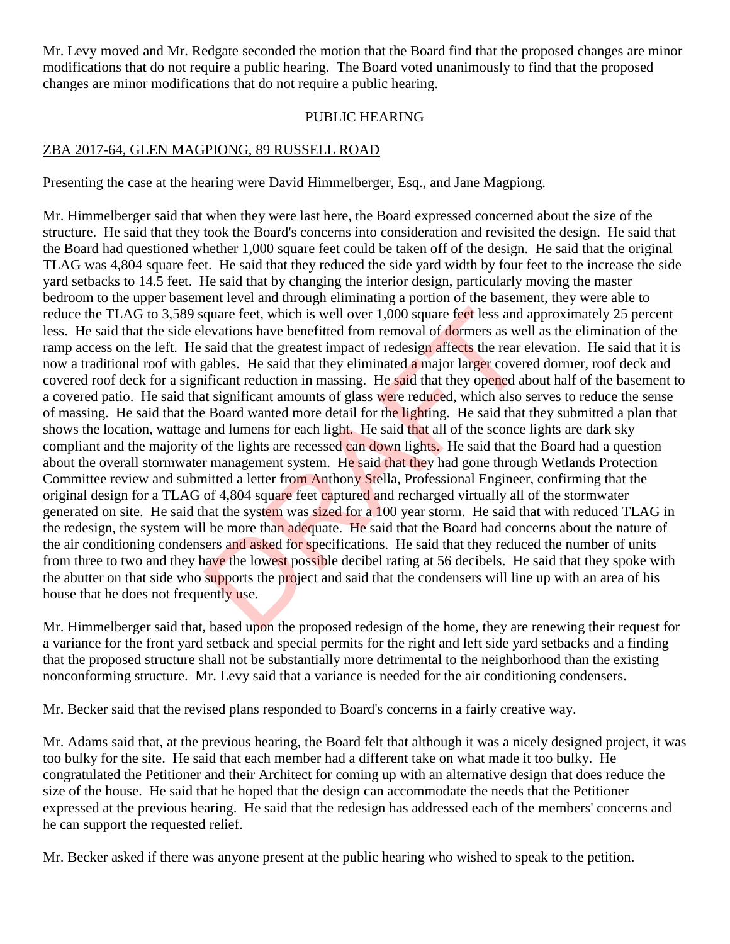Mr. Levy moved and Mr. Redgate seconded the motion that the Board find that the proposed changes are minor modifications that do not require a public hearing. The Board voted unanimously to find that the proposed changes are minor modifications that do not require a public hearing.

#### PUBLIC HEARING

#### ZBA 2017-64, GLEN MAGPIONG, 89 RUSSELL ROAD

Presenting the case at the hearing were David Himmelberger, Esq., and Jane Magpiong.

Mr. Himmelberger said that when they were last here, the Board expressed concerned about the size of the structure. He said that they took the Board's concerns into consideration and revisited the design. He said that the Board had questioned whether 1,000 square feet could be taken off of the design. He said that the original TLAG was 4,804 square feet. He said that they reduced the side yard width by four feet to the increase the side yard setbacks to 14.5 feet. He said that by changing the interior design, particularly moving the master bedroom to the upper basement level and through eliminating a portion of the basement, they were able to reduce the TLAG to 3,589 square feet, which is well over 1,000 square feet less and approximately 25 percent less. He said that the side elevations have benefitted from removal of dormers as well as the elimination of the ramp access on the left. He said that the greatest impact of redesign affects the rear elevation. He said that it is now a traditional roof with gables. He said that they eliminated a major larger covered dormer, roof deck and covered roof deck for a significant reduction in massing. He said that they opened about half of the basement to a covered patio. He said that significant amounts of glass were reduced, which also serves to reduce the sense of massing. He said that the Board wanted more detail for the lighting. He said that they submitted a plan that shows the location, wattage and lumens for each light. He said that all of the sconce lights are dark sky compliant and the majority of the lights are recessed can down lights. He said that the Board had a question about the overall stormwater management system. He said that they had gone through Wetlands Protection Committee review and submitted a letter from Anthony Stella, Professional Engineer, confirming that the original design for a TLAG of 4,804 square feet captured and recharged virtually all of the stormwater generated on site. He said that the system was sized for a 100 year storm. He said that with reduced TLAG in the redesign, the system will be more than adequate. He said that the Board had concerns about the nature of the air conditioning condensers and asked for specifications. He said that they reduced the number of units from three to two and they have the lowest possible decibel rating at 56 decibels. He said that they spoke with the abutter on that side who supports the project and said that the condensers will line up with an area of his house that he does not frequently use. quare feet, which is well over 1,000 square feet less and levations have benefitted from removal of dormers as we said that the greatest impact of redesign affects the rear e gables. He said that they eliminated a major la

Mr. Himmelberger said that, based upon the proposed redesign of the home, they are renewing their request for a variance for the front yard setback and special permits for the right and left side yard setbacks and a finding that the proposed structure shall not be substantially more detrimental to the neighborhood than the existing nonconforming structure. Mr. Levy said that a variance is needed for the air conditioning condensers.

Mr. Becker said that the revised plans responded to Board's concerns in a fairly creative way.

Mr. Adams said that, at the previous hearing, the Board felt that although it was a nicely designed project, it was too bulky for the site. He said that each member had a different take on what made it too bulky. He congratulated the Petitioner and their Architect for coming up with an alternative design that does reduce the size of the house. He said that he hoped that the design can accommodate the needs that the Petitioner expressed at the previous hearing. He said that the redesign has addressed each of the members' concerns and he can support the requested relief.

Mr. Becker asked if there was anyone present at the public hearing who wished to speak to the petition.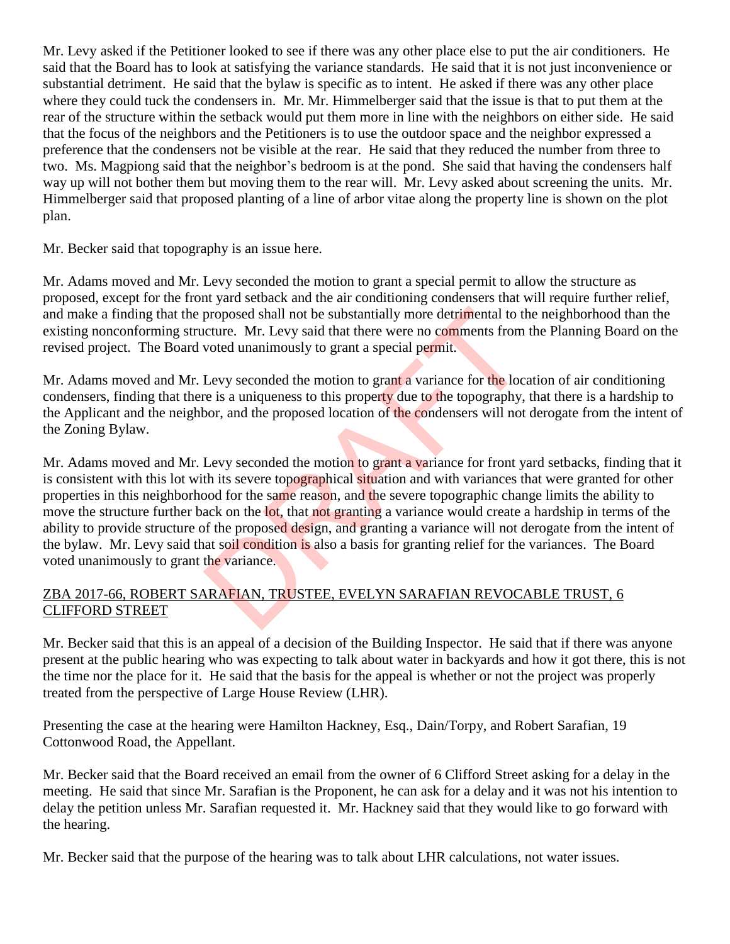Mr. Levy asked if the Petitioner looked to see if there was any other place else to put the air conditioners. He said that the Board has to look at satisfying the variance standards. He said that it is not just inconvenience or substantial detriment. He said that the bylaw is specific as to intent. He asked if there was any other place where they could tuck the condensers in. Mr. Mr. Himmelberger said that the issue is that to put them at the rear of the structure within the setback would put them more in line with the neighbors on either side. He said that the focus of the neighbors and the Petitioners is to use the outdoor space and the neighbor expressed a preference that the condensers not be visible at the rear. He said that they reduced the number from three to two. Ms. Magpiong said that the neighbor's bedroom is at the pond. She said that having the condensers half way up will not bother them but moving them to the rear will. Mr. Levy asked about screening the units. Mr. Himmelberger said that proposed planting of a line of arbor vitae along the property line is shown on the plot plan.

Mr. Becker said that topography is an issue here.

Mr. Adams moved and Mr. Levy seconded the motion to grant a special permit to allow the structure as proposed, except for the front yard setback and the air conditioning condensers that will require further relief, and make a finding that the proposed shall not be substantially more detrimental to the neighborhood than the existing nonconforming structure. Mr. Levy said that there were no comments from the Planning Board on the revised project. The Board voted unanimously to grant a special permit.

Mr. Adams moved and Mr. Levy seconded the motion to grant a variance for the location of air conditioning condensers, finding that there is a uniqueness to this property due to the topography, that there is a hardship to the Applicant and the neighbor, and the proposed location of the condensers will not derogate from the intent of the Zoning Bylaw.

Mr. Adams moved and Mr. Levy seconded the motion to grant a variance for front yard setbacks, finding that it is consistent with this lot with its severe topographical situation and with variances that were granted for other properties in this neighborhood for the same reason, and the severe topographic change limits the ability to move the structure further back on the lot, that not granting a variance would create a hardship in terms of the ability to provide structure of the proposed design, and granting a variance will not derogate from the intent of the bylaw. Mr. Levy said that soil condition is also a basis for granting relief for the variances. The Board voted unanimously to grant the variance. proposed shall not be substantially more detrimental to the curre. Mr. Levy said that there were no comments from voted unanimously to grant a special permit.<br>Levy seconded the motion to grant a variance for the location o

### ZBA 2017-66, ROBERT SARAFIAN, TRUSTEE, EVELYN SARAFIAN REVOCABLE TRUST, 6 CLIFFORD STREET

Mr. Becker said that this is an appeal of a decision of the Building Inspector. He said that if there was anyone present at the public hearing who was expecting to talk about water in backyards and how it got there, this is not the time nor the place for it. He said that the basis for the appeal is whether or not the project was properly treated from the perspective of Large House Review (LHR).

Presenting the case at the hearing were Hamilton Hackney, Esq., Dain/Torpy, and Robert Sarafian, 19 Cottonwood Road, the Appellant.

Mr. Becker said that the Board received an email from the owner of 6 Clifford Street asking for a delay in the meeting. He said that since Mr. Sarafian is the Proponent, he can ask for a delay and it was not his intention to delay the petition unless Mr. Sarafian requested it. Mr. Hackney said that they would like to go forward with the hearing.

Mr. Becker said that the purpose of the hearing was to talk about LHR calculations, not water issues.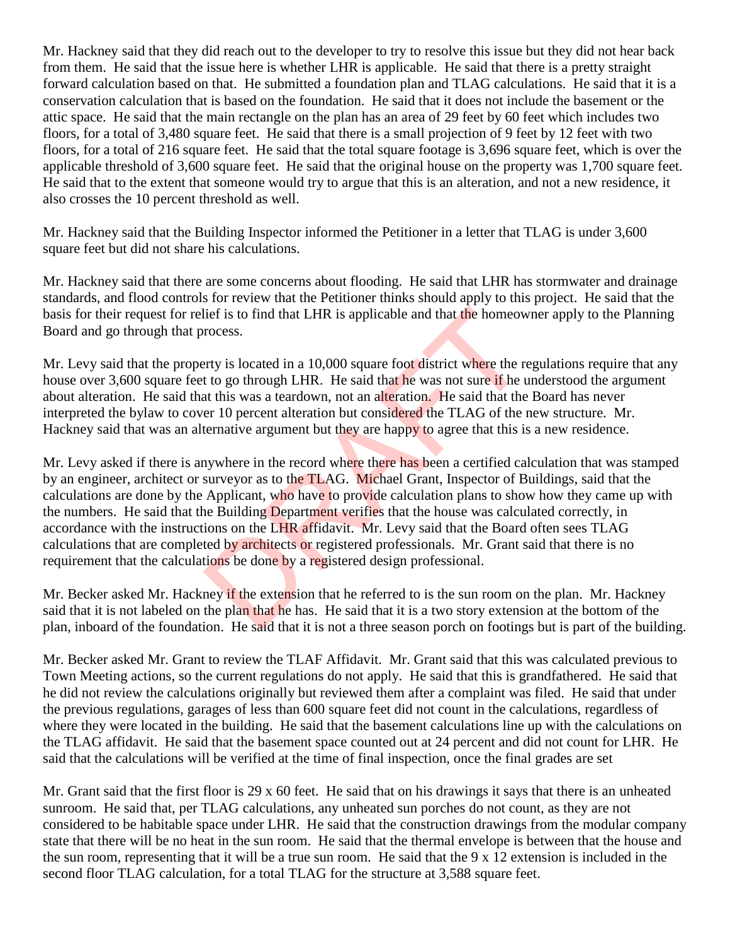Mr. Hackney said that they did reach out to the developer to try to resolve this issue but they did not hear back from them. He said that the issue here is whether LHR is applicable. He said that there is a pretty straight forward calculation based on that. He submitted a foundation plan and TLAG calculations. He said that it is a conservation calculation that is based on the foundation. He said that it does not include the basement or the attic space. He said that the main rectangle on the plan has an area of 29 feet by 60 feet which includes two floors, for a total of 3,480 square feet. He said that there is a small projection of 9 feet by 12 feet with two floors, for a total of 216 square feet. He said that the total square footage is 3,696 square feet, which is over the applicable threshold of 3,600 square feet. He said that the original house on the property was 1,700 square feet. He said that to the extent that someone would try to argue that this is an alteration, and not a new residence, it also crosses the 10 percent threshold as well.

Mr. Hackney said that the Building Inspector informed the Petitioner in a letter that TLAG is under 3,600 square feet but did not share his calculations.

Mr. Hackney said that there are some concerns about flooding. He said that LHR has stormwater and drainage standards, and flood controls for review that the Petitioner thinks should apply to this project. He said that the basis for their request for relief is to find that LHR is applicable and that the homeowner apply to the Planning Board and go through that process.

Mr. Levy said that the property is located in a 10,000 square foot district where the regulations require that any house over 3,600 square feet to go through LHR. He said that he was not sure if he understood the argument about alteration. He said that this was a teardown, not an alteration. He said that the Board has never interpreted the bylaw to cover 10 percent alteration but considered the TLAG of the new structure. Mr. Hackney said that was an alternative argument but they are happy to agree that this is a new residence.

Mr. Levy asked if there is anywhere in the record where there has been a certified calculation that was stamped by an engineer, architect or surveyor as to the TLAG. Michael Grant, Inspector of Buildings, said that the calculations are done by the Applicant, who have to provide calculation plans to show how they came up with the numbers. He said that the Building Department verifies that the house was calculated correctly, in accordance with the instructions on the LHR affidavit. Mr. Levy said that the Board often sees TLAG calculations that are completed by architects or registered professionals. Mr. Grant said that there is no requirement that the calculations be done by a registered design professional. lief is to find that LHR is applicable and that the homeow<br>rocess.<br>try is located in a 10,000 square foot district where the re<br>to go through LHR. He said that he was not sure if he u<br>at this was a teardown, not an alterat

Mr. Becker asked Mr. Hackney if the extension that he referred to is the sun room on the plan. Mr. Hackney said that it is not labeled on the plan that he has. He said that it is a two story extension at the bottom of the plan, inboard of the foundation. He said that it is not a three season porch on footings but is part of the building.

Mr. Becker asked Mr. Grant to review the TLAF Affidavit. Mr. Grant said that this was calculated previous to Town Meeting actions, so the current regulations do not apply. He said that this is grandfathered. He said that he did not review the calculations originally but reviewed them after a complaint was filed. He said that under the previous regulations, garages of less than 600 square feet did not count in the calculations, regardless of where they were located in the building. He said that the basement calculations line up with the calculations on the TLAG affidavit. He said that the basement space counted out at 24 percent and did not count for LHR. He said that the calculations will be verified at the time of final inspection, once the final grades are set

Mr. Grant said that the first floor is 29 x 60 feet. He said that on his drawings it says that there is an unheated sunroom. He said that, per TLAG calculations, any unheated sun porches do not count, as they are not considered to be habitable space under LHR. He said that the construction drawings from the modular company state that there will be no heat in the sun room. He said that the thermal envelope is between that the house and the sun room, representing that it will be a true sun room. He said that the 9 x 12 extension is included in the second floor TLAG calculation, for a total TLAG for the structure at 3,588 square feet.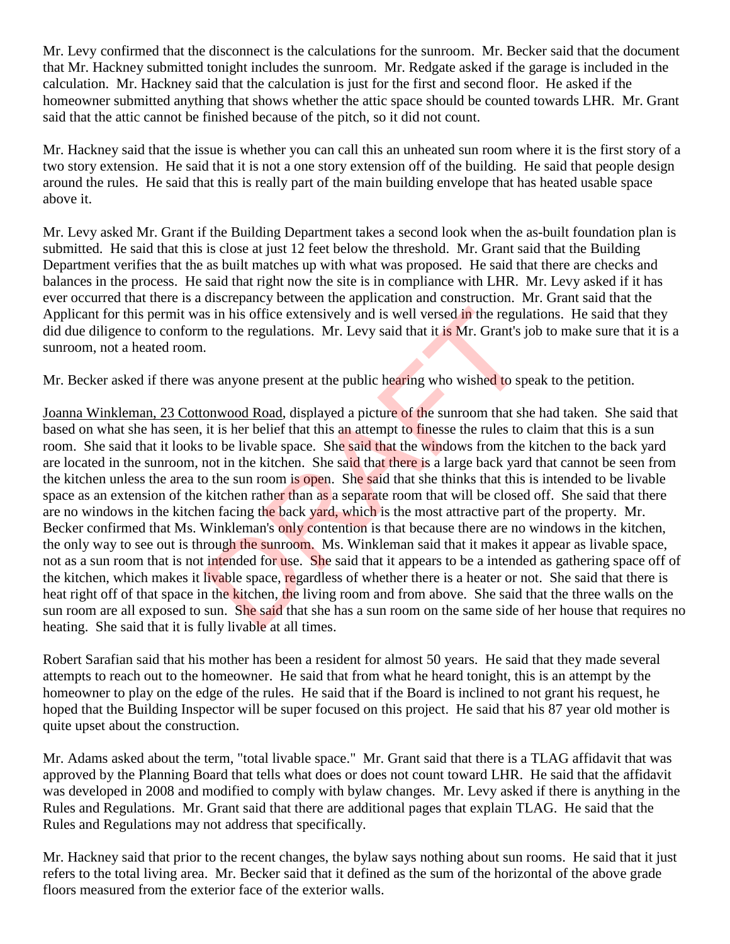Mr. Levy confirmed that the disconnect is the calculations for the sunroom. Mr. Becker said that the document that Mr. Hackney submitted tonight includes the sunroom. Mr. Redgate asked if the garage is included in the calculation. Mr. Hackney said that the calculation is just for the first and second floor. He asked if the homeowner submitted anything that shows whether the attic space should be counted towards LHR. Mr. Grant said that the attic cannot be finished because of the pitch, so it did not count.

Mr. Hackney said that the issue is whether you can call this an unheated sun room where it is the first story of a two story extension. He said that it is not a one story extension off of the building. He said that people design around the rules. He said that this is really part of the main building envelope that has heated usable space above it.

Mr. Levy asked Mr. Grant if the Building Department takes a second look when the as-built foundation plan is submitted. He said that this is close at just 12 feet below the threshold. Mr. Grant said that the Building Department verifies that the as built matches up with what was proposed. He said that there are checks and balances in the process. He said that right now the site is in compliance with LHR. Mr. Levy asked if it has ever occurred that there is a discrepancy between the application and construction. Mr. Grant said that the Applicant for this permit was in his office extensively and is well versed in the regulations. He said that they did due diligence to conform to the regulations. Mr. Levy said that it is Mr. Grant's job to make sure that it is a sunroom, not a heated room.

Mr. Becker asked if there was anyone present at the public hearing who wished to speak to the petition.

Joanna Winkleman, 23 Cottonwood Road, displayed a picture of the sunroom that she had taken. She said that based on what she has seen, it is her belief that this an attempt to finesse the rules to claim that this is a sun room. She said that it looks to be livable space. She said that the windows from the kitchen to the back yard are located in the sunroom, not in the kitchen. She said that there is a large back yard that cannot be seen from the kitchen unless the area to the sun room is open. She said that she thinks that this is intended to be livable space as an extension of the kitchen rather than as a separate room that will be closed off. She said that there are no windows in the kitchen facing the back yard, which is the most attractive part of the property. Mr. Becker confirmed that Ms. Winkleman's only contention is that because there are no windows in the kitchen, the only way to see out is through the sunroom. Ms. Winkleman said that it makes it appear as livable space, not as a sun room that is not intended for use. She said that it appears to be a intended as gathering space off of the kitchen, which makes it livable space, regardless of whether there is a heater or not. She said that there is heat right off of that space in the kitchen, the living room and from above. She said that the three walls on the sun room are all exposed to sun. She said that she has a sun room on the same side of her house that requires no heating. She said that it is fully livable at all times. is in his office extensively and is well versed in the regular of the regularions. Mr. Levy said that it is Mr. Grant's j<br>as anyone present at the public hearing who wished to sp<br><u>onwood Road</u>, displayed a picture of the s

Robert Sarafian said that his mother has been a resident for almost 50 years. He said that they made several attempts to reach out to the homeowner. He said that from what he heard tonight, this is an attempt by the homeowner to play on the edge of the rules. He said that if the Board is inclined to not grant his request, he hoped that the Building Inspector will be super focused on this project. He said that his 87 year old mother is quite upset about the construction.

Mr. Adams asked about the term, "total livable space." Mr. Grant said that there is a TLAG affidavit that was approved by the Planning Board that tells what does or does not count toward LHR. He said that the affidavit was developed in 2008 and modified to comply with bylaw changes. Mr. Levy asked if there is anything in the Rules and Regulations. Mr. Grant said that there are additional pages that explain TLAG. He said that the Rules and Regulations may not address that specifically.

Mr. Hackney said that prior to the recent changes, the bylaw says nothing about sun rooms. He said that it just refers to the total living area. Mr. Becker said that it defined as the sum of the horizontal of the above grade floors measured from the exterior face of the exterior walls.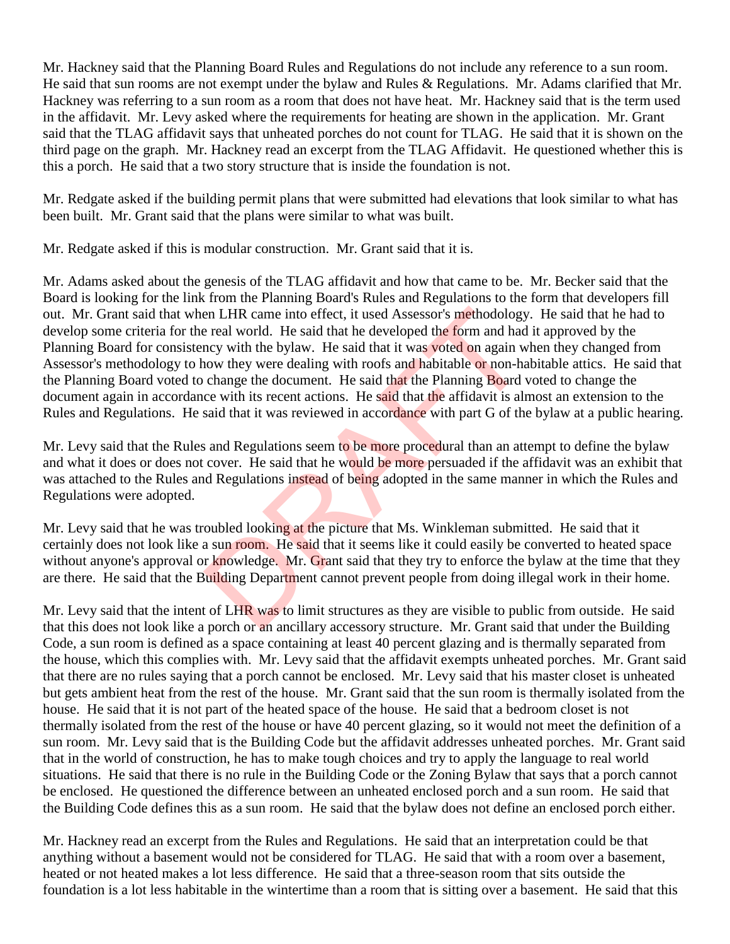Mr. Hackney said that the Planning Board Rules and Regulations do not include any reference to a sun room. He said that sun rooms are not exempt under the bylaw and Rules & Regulations. Mr. Adams clarified that Mr. Hackney was referring to a sun room as a room that does not have heat. Mr. Hackney said that is the term used in the affidavit. Mr. Levy asked where the requirements for heating are shown in the application. Mr. Grant said that the TLAG affidavit says that unheated porches do not count for TLAG. He said that it is shown on the third page on the graph. Mr. Hackney read an excerpt from the TLAG Affidavit. He questioned whether this is this a porch. He said that a two story structure that is inside the foundation is not.

Mr. Redgate asked if the building permit plans that were submitted had elevations that look similar to what has been built. Mr. Grant said that the plans were similar to what was built.

Mr. Redgate asked if this is modular construction. Mr. Grant said that it is.

Mr. Adams asked about the genesis of the TLAG affidavit and how that came to be. Mr. Becker said that the Board is looking for the link from the Planning Board's Rules and Regulations to the form that developers fill out. Mr. Grant said that when LHR came into effect, it used Assessor's methodology. He said that he had to develop some criteria for the real world. He said that he developed the form and had it approved by the Planning Board for consistency with the bylaw. He said that it was voted on again when they changed from Assessor's methodology to how they were dealing with roofs and habitable or non-habitable attics. He said that the Planning Board voted to change the document. He said that the Planning Board voted to change the document again in accordance with its recent actions. He said that the affidavit is almost an extension to the Rules and Regulations. He said that it was reviewed in accordance with part G of the bylaw at a public hearing. en LHR came into effect, it used Assessor's methodology<br>
e real world. He said that he developed the form and had<br>
ncy with the bylaw. He said that it was voted on again w<br>
now they were dealing with roofs and habitable or

Mr. Levy said that the Rules and Regulations seem to be more procedural than an attempt to define the bylaw and what it does or does not cover. He said that he would be more persuaded if the affidavit was an exhibit that was attached to the Rules and Regulations instead of being adopted in the same manner in which the Rules and Regulations were adopted.

Mr. Levy said that he was troubled looking at the picture that Ms. Winkleman submitted. He said that it certainly does not look like a sun room. He said that it seems like it could easily be converted to heated space without anyone's approval or knowledge. Mr. Grant said that they try to enforce the bylaw at the time that they are there. He said that the Building Department cannot prevent people from doing illegal work in their home.

Mr. Levy said that the intent of LHR was to limit structures as they are visible to public from outside. He said that this does not look like a porch or an ancillary accessory structure. Mr. Grant said that under the Building Code, a sun room is defined as a space containing at least 40 percent glazing and is thermally separated from the house, which this complies with. Mr. Levy said that the affidavit exempts unheated porches. Mr. Grant said that there are no rules saying that a porch cannot be enclosed. Mr. Levy said that his master closet is unheated but gets ambient heat from the rest of the house. Mr. Grant said that the sun room is thermally isolated from the house. He said that it is not part of the heated space of the house. He said that a bedroom closet is not thermally isolated from the rest of the house or have 40 percent glazing, so it would not meet the definition of a sun room. Mr. Levy said that is the Building Code but the affidavit addresses unheated porches. Mr. Grant said that in the world of construction, he has to make tough choices and try to apply the language to real world situations. He said that there is no rule in the Building Code or the Zoning Bylaw that says that a porch cannot be enclosed. He questioned the difference between an unheated enclosed porch and a sun room. He said that the Building Code defines this as a sun room. He said that the bylaw does not define an enclosed porch either.

Mr. Hackney read an excerpt from the Rules and Regulations. He said that an interpretation could be that anything without a basement would not be considered for TLAG. He said that with a room over a basement, heated or not heated makes a lot less difference. He said that a three-season room that sits outside the foundation is a lot less habitable in the wintertime than a room that is sitting over a basement. He said that this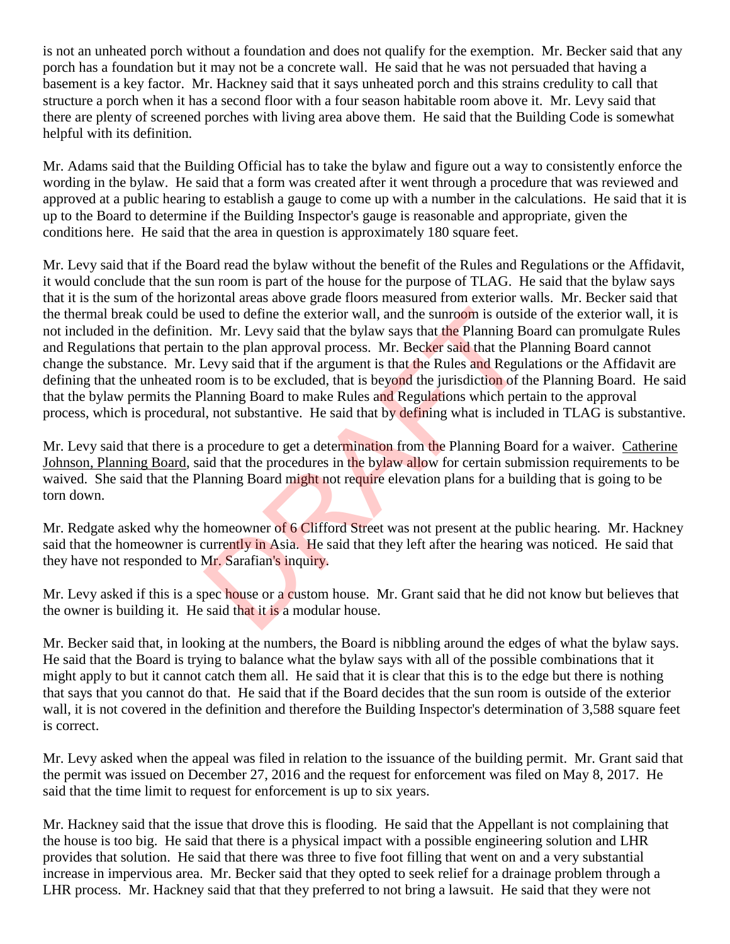is not an unheated porch without a foundation and does not qualify for the exemption. Mr. Becker said that any porch has a foundation but it may not be a concrete wall. He said that he was not persuaded that having a basement is a key factor. Mr. Hackney said that it says unheated porch and this strains credulity to call that structure a porch when it has a second floor with a four season habitable room above it. Mr. Levy said that there are plenty of screened porches with living area above them. He said that the Building Code is somewhat helpful with its definition.

Mr. Adams said that the Building Official has to take the bylaw and figure out a way to consistently enforce the wording in the bylaw. He said that a form was created after it went through a procedure that was reviewed and approved at a public hearing to establish a gauge to come up with a number in the calculations. He said that it is up to the Board to determine if the Building Inspector's gauge is reasonable and appropriate, given the conditions here. He said that the area in question is approximately 180 square feet.

Mr. Levy said that if the Board read the bylaw without the benefit of the Rules and Regulations or the Affidavit, it would conclude that the sun room is part of the house for the purpose of TLAG. He said that the bylaw says that it is the sum of the horizontal areas above grade floors measured from exterior walls. Mr. Becker said that the thermal break could be used to define the exterior wall, and the sunroom is outside of the exterior wall, it is not included in the definition. Mr. Levy said that the bylaw says that the Planning Board can promulgate Rules and Regulations that pertain to the plan approval process. Mr. Becker said that the Planning Board cannot change the substance. Mr. Levy said that if the argument is that the Rules and Regulations or the Affidavit are defining that the unheated room is to be excluded, that is beyond the jurisdiction of the Planning Board. He said that the bylaw permits the Planning Board to make Rules and Regulations which pertain to the approval process, which is procedural, not substantive. He said that by defining what is included in TLAG is substantive. used to define the exterior wall, and the sunroom is outsic<br>
n. Mr. Levy said that the bylaw says that the Planning B<br>
to the plan approval process. Mr. Becker said that the P<br>
Levy said that if the argument is that the Ru

Mr. Levy said that there is a procedure to get a determination from the Planning Board for a waiver. Catherine Johnson, Planning Board, said that the procedures in the bylaw allow for certain submission requirements to be waived. She said that the Planning Board might not require elevation plans for a building that is going to be torn down.

Mr. Redgate asked why the homeowner of 6 Clifford Street was not present at the public hearing. Mr. Hackney said that the homeowner is currently in Asia. He said that they left after the hearing was noticed. He said that they have not responded to Mr. Sarafian's inquiry.

Mr. Levy asked if this is a spec house or a custom house. Mr. Grant said that he did not know but believes that the owner is building it. He said that it is a modular house.

Mr. Becker said that, in looking at the numbers, the Board is nibbling around the edges of what the bylaw says. He said that the Board is trying to balance what the bylaw says with all of the possible combinations that it might apply to but it cannot catch them all. He said that it is clear that this is to the edge but there is nothing that says that you cannot do that. He said that if the Board decides that the sun room is outside of the exterior wall, it is not covered in the definition and therefore the Building Inspector's determination of 3,588 square feet is correct.

Mr. Levy asked when the appeal was filed in relation to the issuance of the building permit. Mr. Grant said that the permit was issued on December 27, 2016 and the request for enforcement was filed on May 8, 2017. He said that the time limit to request for enforcement is up to six years.

Mr. Hackney said that the issue that drove this is flooding. He said that the Appellant is not complaining that the house is too big. He said that there is a physical impact with a possible engineering solution and LHR provides that solution. He said that there was three to five foot filling that went on and a very substantial increase in impervious area. Mr. Becker said that they opted to seek relief for a drainage problem through a LHR process. Mr. Hackney said that that they preferred to not bring a lawsuit. He said that they were not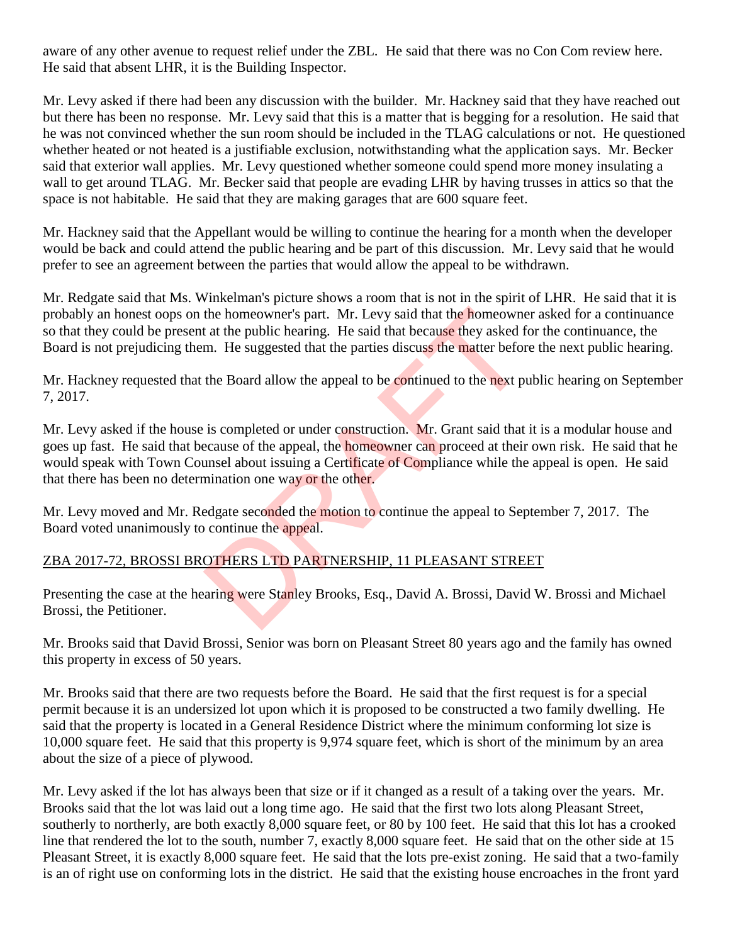aware of any other avenue to request relief under the ZBL. He said that there was no Con Com review here. He said that absent LHR, it is the Building Inspector.

Mr. Levy asked if there had been any discussion with the builder. Mr. Hackney said that they have reached out but there has been no response. Mr. Levy said that this is a matter that is begging for a resolution. He said that he was not convinced whether the sun room should be included in the TLAG calculations or not. He questioned whether heated or not heated is a justifiable exclusion, notwithstanding what the application says. Mr. Becker said that exterior wall applies. Mr. Levy questioned whether someone could spend more money insulating a wall to get around TLAG. Mr. Becker said that people are evading LHR by having trusses in attics so that the space is not habitable. He said that they are making garages that are 600 square feet.

Mr. Hackney said that the Appellant would be willing to continue the hearing for a month when the developer would be back and could attend the public hearing and be part of this discussion. Mr. Levy said that he would prefer to see an agreement between the parties that would allow the appeal to be withdrawn.

Mr. Redgate said that Ms. Winkelman's picture shows a room that is not in the spirit of LHR. He said that it is probably an honest oops on the homeowner's part. Mr. Levy said that the homeowner asked for a continuance so that they could be present at the public hearing. He said that because they asked for the continuance, the Board is not prejudicing them. He suggested that the parties discuss the matter before the next public hearing.

Mr. Hackney requested that the Board allow the appeal to be continued to the next public hearing on September 7, 2017.

Mr. Levy asked if the house is completed or under construction. Mr. Grant said that it is a modular house and goes up fast. He said that because of the appeal, the homeowner can proceed at their own risk. He said that he would speak with Town Counsel about issuing a Certificate of Compliance while the appeal is open. He said that there has been no determination one way or the other. the homeowner's part. Mr. Levy said that the homeowner at at the public hearing. He said that because they asked fm. He suggested that the parties discuss the matter before the Board allow the appeal to be continued to the

Mr. Levy moved and Mr. Redgate seconded the motion to continue the appeal to September 7, 2017. The Board voted unanimously to continue the appeal.

## ZBA 2017-72, BROSSI BROTHERS LTD PARTNERSHIP, 11 PLEASANT STREET

Presenting the case at the hearing were Stanley Brooks, Esq., David A. Brossi, David W. Brossi and Michael Brossi, the Petitioner.

Mr. Brooks said that David Brossi, Senior was born on Pleasant Street 80 years ago and the family has owned this property in excess of 50 years.

Mr. Brooks said that there are two requests before the Board. He said that the first request is for a special permit because it is an undersized lot upon which it is proposed to be constructed a two family dwelling. He said that the property is located in a General Residence District where the minimum conforming lot size is 10,000 square feet. He said that this property is 9,974 square feet, which is short of the minimum by an area about the size of a piece of plywood.

Mr. Levy asked if the lot has always been that size or if it changed as a result of a taking over the years. Mr. Brooks said that the lot was laid out a long time ago. He said that the first two lots along Pleasant Street, southerly to northerly, are both exactly 8,000 square feet, or 80 by 100 feet. He said that this lot has a crooked line that rendered the lot to the south, number 7, exactly 8,000 square feet. He said that on the other side at 15 Pleasant Street, it is exactly 8,000 square feet. He said that the lots pre-exist zoning. He said that a two-family is an of right use on conforming lots in the district. He said that the existing house encroaches in the front yard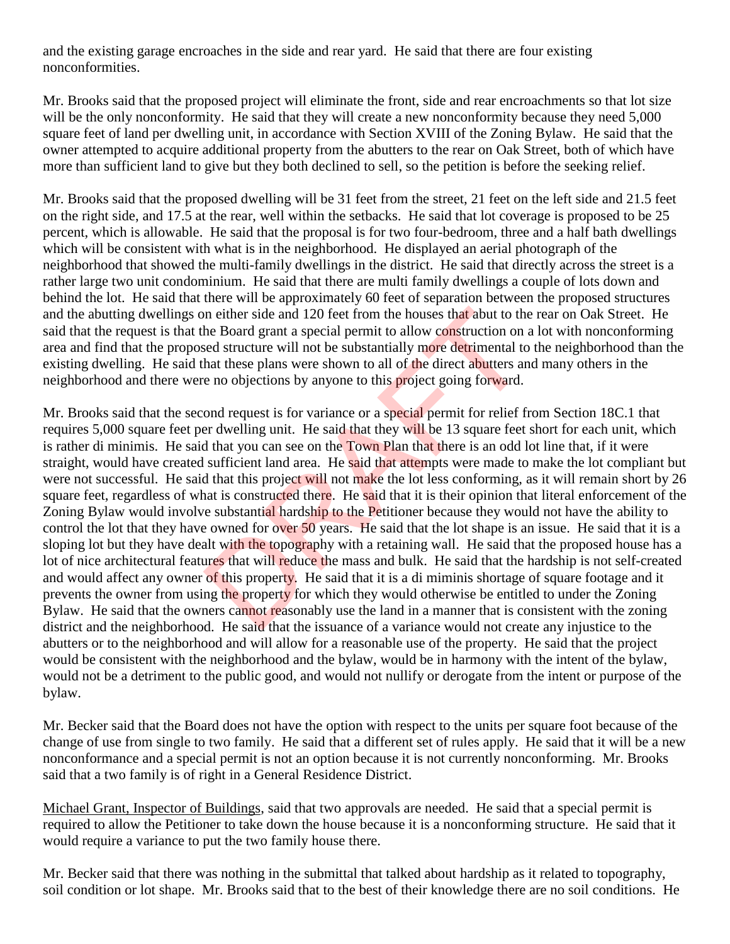and the existing garage encroaches in the side and rear yard. He said that there are four existing nonconformities.

Mr. Brooks said that the proposed project will eliminate the front, side and rear encroachments so that lot size will be the only nonconformity. He said that they will create a new nonconformity because they need 5,000 square feet of land per dwelling unit, in accordance with Section XVIII of the Zoning Bylaw. He said that the owner attempted to acquire additional property from the abutters to the rear on Oak Street, both of which have more than sufficient land to give but they both declined to sell, so the petition is before the seeking relief.

Mr. Brooks said that the proposed dwelling will be 31 feet from the street, 21 feet on the left side and 21.5 feet on the right side, and 17.5 at the rear, well within the setbacks. He said that lot coverage is proposed to be 25 percent, which is allowable. He said that the proposal is for two four-bedroom, three and a half bath dwellings which will be consistent with what is in the neighborhood. He displayed an aerial photograph of the neighborhood that showed the multi-family dwellings in the district. He said that directly across the street is a rather large two unit condominium. He said that there are multi family dwellings a couple of lots down and behind the lot. He said that there will be approximately 60 feet of separation between the proposed structures and the abutting dwellings on either side and 120 feet from the houses that abut to the rear on Oak Street. He said that the request is that the Board grant a special permit to allow construction on a lot with nonconforming area and find that the proposed structure will not be substantially more detrimental to the neighborhood than the existing dwelling. He said that these plans were shown to all of the direct abutters and many others in the neighborhood and there were no objections by anyone to this project going forward.

Mr. Brooks said that the second request is for variance or a special permit for relief from Section 18C.1 that requires 5,000 square feet per dwelling unit. He said that they will be 13 square feet short for each unit, which is rather di minimis. He said that you can see on the Town Plan that there is an odd lot line that, if it were straight, would have created sufficient land area. He said that attempts were made to make the lot compliant but were not successful. He said that this project will not make the lot less conforming, as it will remain short by 26 square feet, regardless of what is constructed there. He said that it is their opinion that literal enforcement of the Zoning Bylaw would involve substantial hardship to the Petitioner because they would not have the ability to control the lot that they have owned for over 50 years. He said that the lot shape is an issue. He said that it is a sloping lot but they have dealt with the topography with a retaining wall. He said that the proposed house has a lot of nice architectural features that will reduce the mass and bulk. He said that the hardship is not self-created and would affect any owner of this property. He said that it is a di miminis shortage of square footage and it prevents the owner from using the property for which they would otherwise be entitled to under the Zoning Bylaw. He said that the owners cannot reasonably use the land in a manner that is consistent with the zoning district and the neighborhood. He said that the issuance of a variance would not create any injustice to the abutters or to the neighborhood and will allow for a reasonable use of the property. He said that the project would be consistent with the neighborhood and the bylaw, would be in harmony with the intent of the bylaw, would not be a detriment to the public good, and would not nullify or derogate from the intent or purpose of the bylaw. In either side and 120 feet from the houses that abut to the Board grant a special permit to allow construction on seed structure will not be substantially more detrimental to hat these plans were shown to all of the direc

Mr. Becker said that the Board does not have the option with respect to the units per square foot because of the change of use from single to two family. He said that a different set of rules apply. He said that it will be a new nonconformance and a special permit is not an option because it is not currently nonconforming. Mr. Brooks said that a two family is of right in a General Residence District.

Michael Grant, Inspector of Buildings, said that two approvals are needed. He said that a special permit is required to allow the Petitioner to take down the house because it is a nonconforming structure. He said that it would require a variance to put the two family house there.

Mr. Becker said that there was nothing in the submittal that talked about hardship as it related to topography, soil condition or lot shape. Mr. Brooks said that to the best of their knowledge there are no soil conditions. He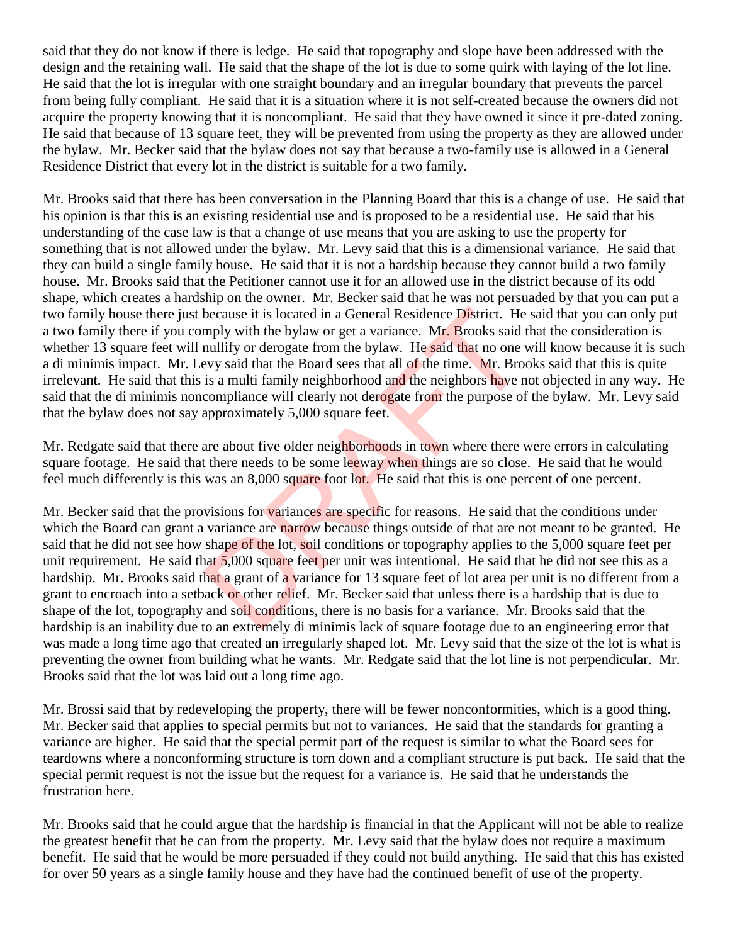said that they do not know if there is ledge. He said that topography and slope have been addressed with the design and the retaining wall. He said that the shape of the lot is due to some quirk with laying of the lot line. He said that the lot is irregular with one straight boundary and an irregular boundary that prevents the parcel from being fully compliant. He said that it is a situation where it is not self-created because the owners did not acquire the property knowing that it is noncompliant. He said that they have owned it since it pre-dated zoning. He said that because of 13 square feet, they will be prevented from using the property as they are allowed under the bylaw. Mr. Becker said that the bylaw does not say that because a two-family use is allowed in a General Residence District that every lot in the district is suitable for a two family.

Mr. Brooks said that there has been conversation in the Planning Board that this is a change of use. He said that his opinion is that this is an existing residential use and is proposed to be a residential use. He said that his understanding of the case law is that a change of use means that you are asking to use the property for something that is not allowed under the bylaw. Mr. Levy said that this is a dimensional variance. He said that they can build a single family house. He said that it is not a hardship because they cannot build a two family house. Mr. Brooks said that the Petitioner cannot use it for an allowed use in the district because of its odd shape, which creates a hardship on the owner. Mr. Becker said that he was not persuaded by that you can put a two family house there just because it is located in a General Residence District. He said that you can only put a two family there if you comply with the bylaw or get a variance. Mr. Brooks said that the consideration is whether 13 square feet will nullify or derogate from the bylaw. He said that no one will know because it is such a di minimis impact. Mr. Levy said that the Board sees that all of the time. Mr. Brooks said that this is quite irrelevant. He said that this is a multi family neighborhood and the neighbors have not objected in any way. He said that the di minimis noncompliance will clearly not derogate from the purpose of the bylaw. Mr. Levy said that the bylaw does not say approximately 5,000 square feet.

Mr. Redgate said that there are about five older neighborhoods in town where there were errors in calculating square footage. He said that there needs to be some leeway when things are so close. He said that he would feel much differently is this was an 8,000 square foot lot. He said that this is one percent of one percent.

Mr. Becker said that the provisions for variances are specific for reasons. He said that the conditions under which the Board can grant a variance are narrow because things outside of that are not meant to be granted. He said that he did not see how shape of the lot, soil conditions or topography applies to the 5,000 square feet per unit requirement. He said that  $5,000$  square feet per unit was intentional. He said that he did not see this as a hardship. Mr. Brooks said that a grant of a variance for 13 square feet of lot area per unit is no different from a grant to encroach into a setback or other relief. Mr. Becker said that unless there is a hardship that is due to shape of the lot, topography and soil conditions, there is no basis for a variance. Mr. Brooks said that the hardship is an inability due to an extremely di minimis lack of square footage due to an engineering error that was made a long time ago that created an irregularly shaped lot. Mr. Levy said that the size of the lot is what is preventing the owner from building what he wants. Mr. Redgate said that the lot line is not perpendicular. Mr. Brooks said that the lot was laid out a long time ago. because it is located in a General Residence District. He<br>mply with the bylaw or get a variance. Mr. Brooks said t<br>nullify or derogate from the bylaw. He said that no one v<br>evy said that the Board sees that all of the time

Mr. Brossi said that by redeveloping the property, there will be fewer nonconformities, which is a good thing. Mr. Becker said that applies to special permits but not to variances. He said that the standards for granting a variance are higher. He said that the special permit part of the request is similar to what the Board sees for teardowns where a nonconforming structure is torn down and a compliant structure is put back. He said that the special permit request is not the issue but the request for a variance is. He said that he understands the frustration here.

Mr. Brooks said that he could argue that the hardship is financial in that the Applicant will not be able to realize the greatest benefit that he can from the property. Mr. Levy said that the bylaw does not require a maximum benefit. He said that he would be more persuaded if they could not build anything. He said that this has existed for over 50 years as a single family house and they have had the continued benefit of use of the property.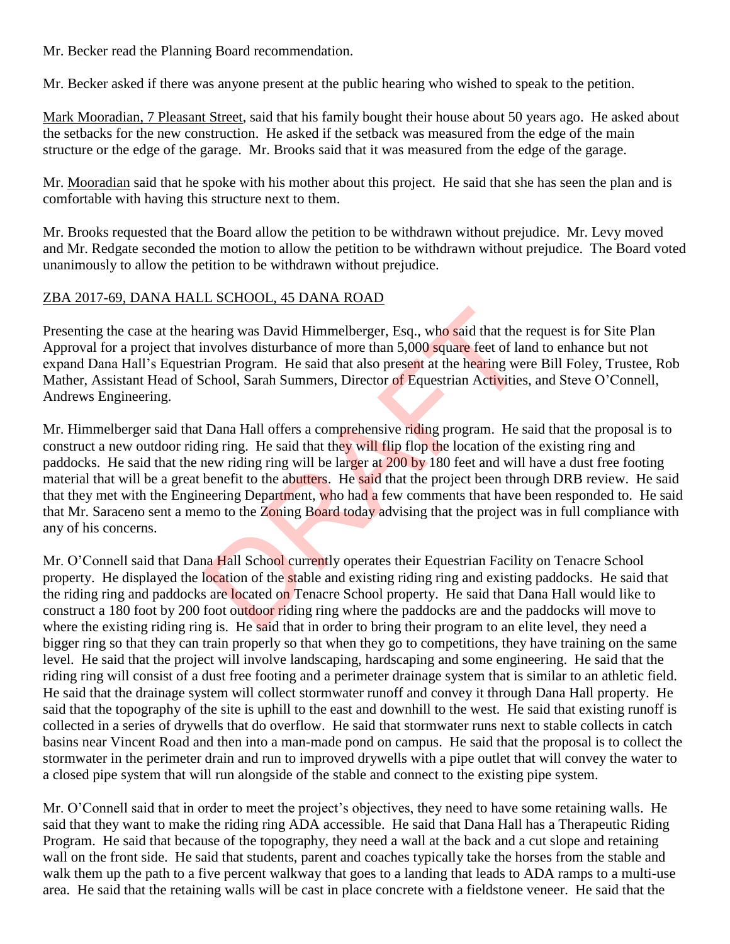Mr. Becker read the Planning Board recommendation.

Mr. Becker asked if there was anyone present at the public hearing who wished to speak to the petition.

Mark Mooradian, 7 Pleasant Street, said that his family bought their house about 50 years ago. He asked about the setbacks for the new construction. He asked if the setback was measured from the edge of the main structure or the edge of the garage. Mr. Brooks said that it was measured from the edge of the garage.

Mr. Mooradian said that he spoke with his mother about this project. He said that she has seen the plan and is comfortable with having this structure next to them.

Mr. Brooks requested that the Board allow the petition to be withdrawn without prejudice. Mr. Levy moved and Mr. Redgate seconded the motion to allow the petition to be withdrawn without prejudice. The Board voted unanimously to allow the petition to be withdrawn without prejudice.

### ZBA 2017-69, DANA HALL SCHOOL, 45 DANA ROAD

Presenting the case at the hearing was David Himmelberger, Esq., who said that the request is for Site Plan Approval for a project that involves disturbance of more than 5,000 square feet of land to enhance but not expand Dana Hall's Equestrian Program. He said that also present at the hearing were Bill Foley, Trustee, Rob Mather, Assistant Head of School, Sarah Summers, Director of Equestrian Activities, and Steve O'Connell, Andrews Engineering.

Mr. Himmelberger said that Dana Hall offers a comprehensive riding program. He said that the proposal is to construct a new outdoor riding ring. He said that they will flip flop the location of the existing ring and paddocks. He said that the new riding ring will be larger at 200 by 180 feet and will have a dust free footing material that will be a great benefit to the abutters. He said that the project been through DRB review. He said that they met with the Engineering Department, who had a few comments that have been responded to. He said that Mr. Saraceno sent a memo to the Zoning Board today advising that the project was in full compliance with any of his concerns. aring was David Himmelberger, Esq., who said that the n<br>nvolves disturbance of more than 5,000 square feet of lar<br>ian Program. He said that also present at the hearing we<br>chool, Sarah Summers, Director of Equestrian Activi

Mr. O'Connell said that Dana Hall School currently operates their Equestrian Facility on Tenacre School property. He displayed the location of the stable and existing riding ring and existing paddocks. He said that the riding ring and paddocks are located on Tenacre School property. He said that Dana Hall would like to construct a 180 foot by 200 foot outdoor riding ring where the paddocks are and the paddocks will move to where the existing riding ring is. He said that in order to bring their program to an elite level, they need a bigger ring so that they can train properly so that when they go to competitions, they have training on the same level. He said that the project will involve landscaping, hardscaping and some engineering. He said that the riding ring will consist of a dust free footing and a perimeter drainage system that is similar to an athletic field. He said that the drainage system will collect stormwater runoff and convey it through Dana Hall property. He said that the topography of the site is uphill to the east and downhill to the west. He said that existing runoff is collected in a series of drywells that do overflow. He said that stormwater runs next to stable collects in catch basins near Vincent Road and then into a man-made pond on campus. He said that the proposal is to collect the stormwater in the perimeter drain and run to improved drywells with a pipe outlet that will convey the water to a closed pipe system that will run alongside of the stable and connect to the existing pipe system.

Mr. O'Connell said that in order to meet the project's objectives, they need to have some retaining walls. He said that they want to make the riding ring ADA accessible. He said that Dana Hall has a Therapeutic Riding Program. He said that because of the topography, they need a wall at the back and a cut slope and retaining wall on the front side. He said that students, parent and coaches typically take the horses from the stable and walk them up the path to a five percent walkway that goes to a landing that leads to ADA ramps to a multi-use area. He said that the retaining walls will be cast in place concrete with a fieldstone veneer. He said that the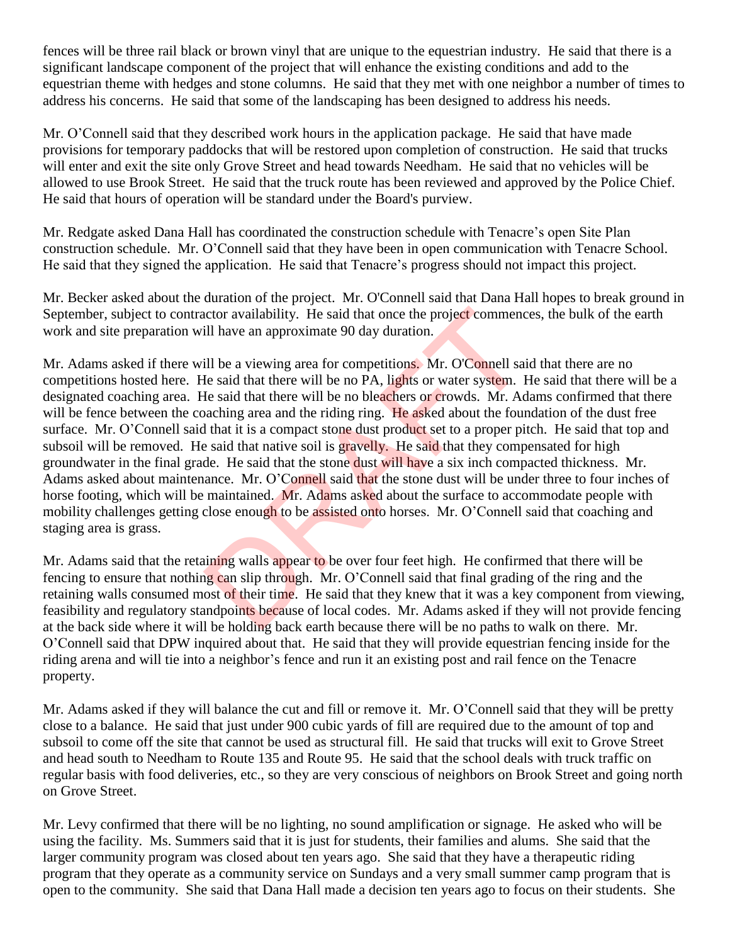fences will be three rail black or brown vinyl that are unique to the equestrian industry. He said that there is a significant landscape component of the project that will enhance the existing conditions and add to the equestrian theme with hedges and stone columns. He said that they met with one neighbor a number of times to address his concerns. He said that some of the landscaping has been designed to address his needs.

Mr. O'Connell said that they described work hours in the application package. He said that have made provisions for temporary paddocks that will be restored upon completion of construction. He said that trucks will enter and exit the site only Grove Street and head towards Needham. He said that no vehicles will be allowed to use Brook Street. He said that the truck route has been reviewed and approved by the Police Chief. He said that hours of operation will be standard under the Board's purview.

Mr. Redgate asked Dana Hall has coordinated the construction schedule with Tenacre's open Site Plan construction schedule. Mr. O'Connell said that they have been in open communication with Tenacre School. He said that they signed the application. He said that Tenacre's progress should not impact this project.

Mr. Becker asked about the duration of the project. Mr. O'Connell said that Dana Hall hopes to break ground in September, subject to contractor availability. He said that once the project commences, the bulk of the earth work and site preparation will have an approximate 90 day duration.

Mr. Adams asked if there will be a viewing area for competitions. Mr. O'Connell said that there are no competitions hosted here. He said that there will be no PA, lights or water system. He said that there will be a designated coaching area. He said that there will be no bleachers or crowds. Mr. Adams confirmed that there will be fence between the coaching area and the riding ring. He asked about the foundation of the dust free surface. Mr. O'Connell said that it is a compact stone dust product set to a proper pitch. He said that top and subsoil will be removed. He said that native soil is gravelly. He said that they compensated for high groundwater in the final grade. He said that the stone dust will have a six inch compacted thickness. Mr. Adams asked about maintenance. Mr. O'Connell said that the stone dust will be under three to four inches of horse footing, which will be maintained. Mr. Adams asked about the surface to accommodate people with mobility challenges getting close enough to be assisted onto horses. Mr. O'Connell said that coaching and staging area is grass. nation and a material state of local costs. Mr. O'Connell said that there will be a viewing area for competitions. Mr. O'Connell said that there will be no PA, lights or water system. He said that there will be no PA, ligh

Mr. Adams said that the retaining walls appear to be over four feet high. He confirmed that there will be fencing to ensure that nothing can slip through. Mr. O'Connell said that final grading of the ring and the retaining walls consumed most of their time. He said that they knew that it was a key component from viewing, feasibility and regulatory standpoints because of local codes. Mr. Adams asked if they will not provide fencing at the back side where it will be holding back earth because there will be no paths to walk on there. Mr. O'Connell said that DPW inquired about that. He said that they will provide equestrian fencing inside for the riding arena and will tie into a neighbor's fence and run it an existing post and rail fence on the Tenacre property.

Mr. Adams asked if they will balance the cut and fill or remove it. Mr. O'Connell said that they will be pretty close to a balance. He said that just under 900 cubic yards of fill are required due to the amount of top and subsoil to come off the site that cannot be used as structural fill. He said that trucks will exit to Grove Street and head south to Needham to Route 135 and Route 95. He said that the school deals with truck traffic on regular basis with food deliveries, etc., so they are very conscious of neighbors on Brook Street and going north on Grove Street.

Mr. Levy confirmed that there will be no lighting, no sound amplification or signage. He asked who will be using the facility. Ms. Summers said that it is just for students, their families and alums. She said that the larger community program was closed about ten years ago. She said that they have a therapeutic riding program that they operate as a community service on Sundays and a very small summer camp program that is open to the community. She said that Dana Hall made a decision ten years ago to focus on their students. She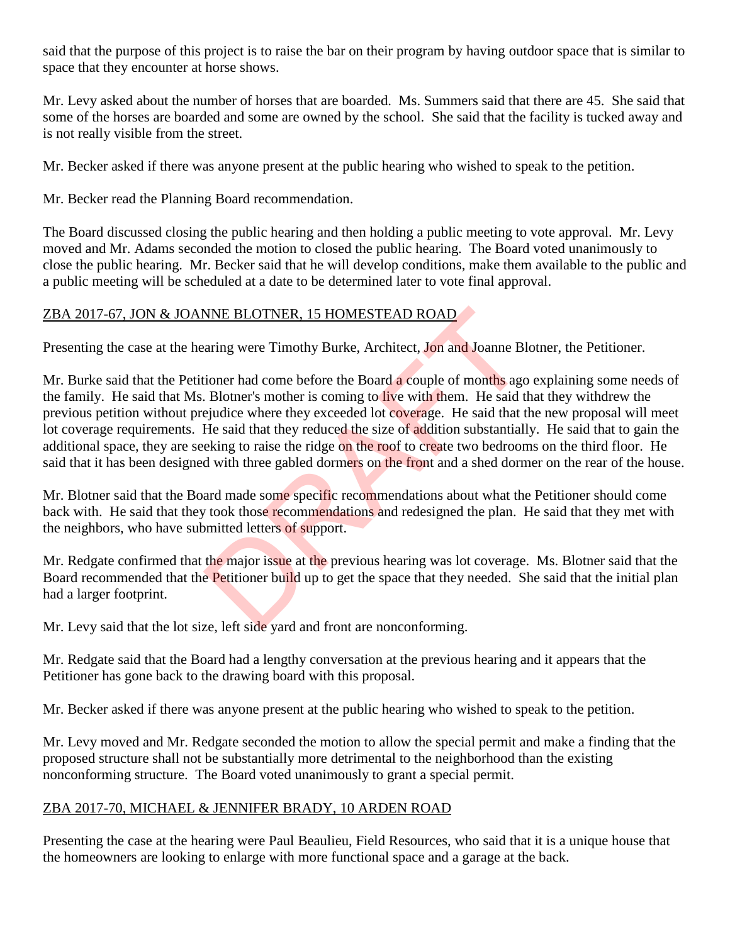said that the purpose of this project is to raise the bar on their program by having outdoor space that is similar to space that they encounter at horse shows.

Mr. Levy asked about the number of horses that are boarded. Ms. Summers said that there are 45. She said that some of the horses are boarded and some are owned by the school. She said that the facility is tucked away and is not really visible from the street.

Mr. Becker asked if there was anyone present at the public hearing who wished to speak to the petition.

Mr. Becker read the Planning Board recommendation.

The Board discussed closing the public hearing and then holding a public meeting to vote approval. Mr. Levy moved and Mr. Adams seconded the motion to closed the public hearing. The Board voted unanimously to close the public hearing. Mr. Becker said that he will develop conditions, make them available to the public and a public meeting will be scheduled at a date to be determined later to vote final approval.

### ZBA 2017-67, JON & JOANNE BLOTNER, 15 HOMESTEAD ROAD

Presenting the case at the hearing were Timothy Burke, Architect, Jon and Joanne Blotner, the Petitioner.

Mr. Burke said that the Petitioner had come before the Board a couple of months ago explaining some needs of the family. He said that Ms. Blotner's mother is coming to live with them. He said that they withdrew the previous petition without prejudice where they exceeded lot coverage. He said that the new proposal will meet lot coverage requirements. He said that they reduced the size of addition substantially. He said that to gain the additional space, they are seeking to raise the ridge on the roof to create two bedrooms on the third floor. He said that it has been designed with three gabled dormers on the front and a shed dormer on the rear of the house. NNE BLOTNER, 15 HOMESTEAD ROAD<br>
aring were Timothy Burke, Architect, Jon and Joanne Bl<br>
ioner had come before the Board a couple of months ago<br>
. Blotner's mother is coming to live with them. He said that<br>
ejudice where th

Mr. Blotner said that the Board made some specific recommendations about what the Petitioner should come back with. He said that they took those recommendations and redesigned the plan. He said that they met with the neighbors, who have submitted letters of support.

Mr. Redgate confirmed that the major issue at the previous hearing was lot coverage. Ms. Blotner said that the Board recommended that the Petitioner build up to get the space that they needed. She said that the initial plan had a larger footprint.

Mr. Levy said that the lot size, left side yard and front are nonconforming.

Mr. Redgate said that the Board had a lengthy conversation at the previous hearing and it appears that the Petitioner has gone back to the drawing board with this proposal.

Mr. Becker asked if there was anyone present at the public hearing who wished to speak to the petition.

Mr. Levy moved and Mr. Redgate seconded the motion to allow the special permit and make a finding that the proposed structure shall not be substantially more detrimental to the neighborhood than the existing nonconforming structure. The Board voted unanimously to grant a special permit.

### ZBA 2017-70, MICHAEL & JENNIFER BRADY, 10 ARDEN ROAD

Presenting the case at the hearing were Paul Beaulieu, Field Resources, who said that it is a unique house that the homeowners are looking to enlarge with more functional space and a garage at the back.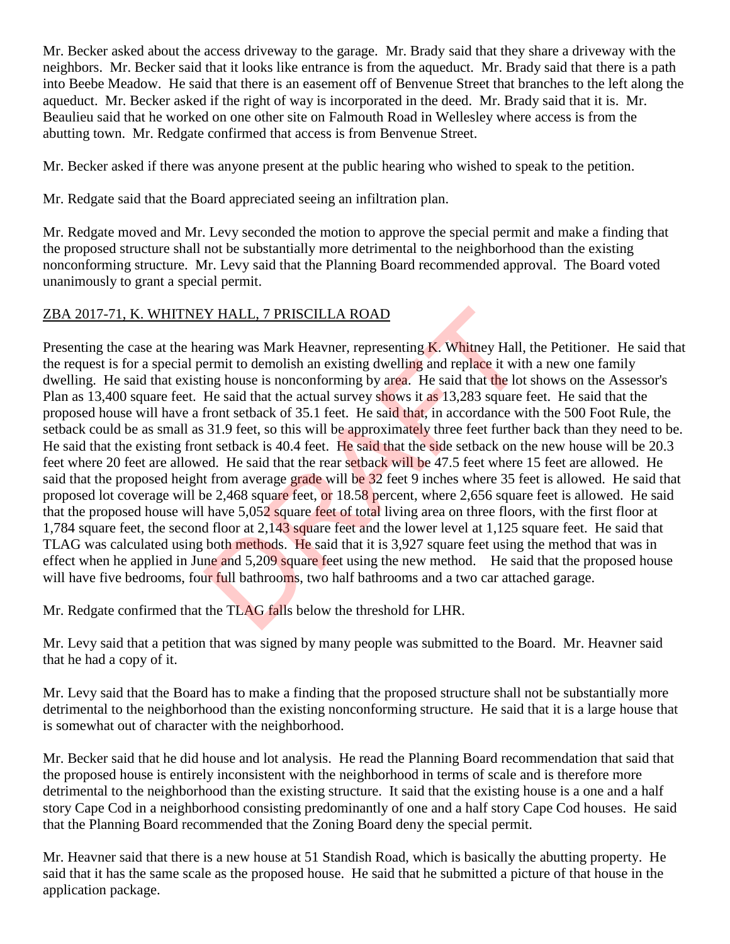Mr. Becker asked about the access driveway to the garage. Mr. Brady said that they share a driveway with the neighbors. Mr. Becker said that it looks like entrance is from the aqueduct. Mr. Brady said that there is a path into Beebe Meadow. He said that there is an easement off of Benvenue Street that branches to the left along the aqueduct. Mr. Becker asked if the right of way is incorporated in the deed. Mr. Brady said that it is. Mr. Beaulieu said that he worked on one other site on Falmouth Road in Wellesley where access is from the abutting town. Mr. Redgate confirmed that access is from Benvenue Street.

Mr. Becker asked if there was anyone present at the public hearing who wished to speak to the petition.

Mr. Redgate said that the Board appreciated seeing an infiltration plan.

Mr. Redgate moved and Mr. Levy seconded the motion to approve the special permit and make a finding that the proposed structure shall not be substantially more detrimental to the neighborhood than the existing nonconforming structure. Mr. Levy said that the Planning Board recommended approval. The Board voted unanimously to grant a special permit.

## ZBA 2017-71, K. WHITNEY HALL, 7 PRISCILLA ROAD

Presenting the case at the hearing was Mark Heavner, representing  $\bf{K}$ . Whitney Hall, the Petitioner. He said that the request is for a special permit to demolish an existing dwelling and replace it with a new one family dwelling. He said that existing house is nonconforming by area. He said that the lot shows on the Assessor's Plan as 13,400 square feet. He said that the actual survey shows it as 13,283 square feet. He said that the proposed house will have a front setback of 35.1 feet. He said that, in accordance with the 500 Foot Rule, the setback could be as small as 31.9 feet, so this will be approximately three feet further back than they need to be. He said that the existing front setback is 40.4 feet. He said that the side setback on the new house will be 20.3 feet where 20 feet are allowed. He said that the rear setback will be 47.5 feet where 15 feet are allowed. He said that the proposed height from average grade will be 32 feet 9 inches where 35 feet is allowed. He said that proposed lot coverage will be 2,468 square feet, or 18.58 percent, where 2,656 square feet is allowed. He said that the proposed house will have 5,052 square feet of total living area on three floors, with the first floor at 1,784 square feet, the second floor at 2,143 square feet and the lower level at 1,125 square feet. He said that TLAG was calculated using both methods. He said that it is 3,927 square feet using the method that was in effect when he applied in June and 5,209 square feet using the new method. He said that the proposed house will have five bedrooms, four full bathrooms, two half bathrooms and a two car attached garage. **Y HALL, 7 PRISCILLA ROAD**<br>
aring was Mark Heavner, representing **K**. Whitney Hall,<br>
ermit to demolish an existing dwelling and replace it with<br>
ing house is nonconforming by area. He said that the lot<br>
He said that the a

Mr. Redgate confirmed that the TLAG falls below the threshold for LHR.

Mr. Levy said that a petition that was signed by many people was submitted to the Board. Mr. Heavner said that he had a copy of it.

Mr. Levy said that the Board has to make a finding that the proposed structure shall not be substantially more detrimental to the neighborhood than the existing nonconforming structure. He said that it is a large house that is somewhat out of character with the neighborhood.

Mr. Becker said that he did house and lot analysis. He read the Planning Board recommendation that said that the proposed house is entirely inconsistent with the neighborhood in terms of scale and is therefore more detrimental to the neighborhood than the existing structure. It said that the existing house is a one and a half story Cape Cod in a neighborhood consisting predominantly of one and a half story Cape Cod houses. He said that the Planning Board recommended that the Zoning Board deny the special permit.

Mr. Heavner said that there is a new house at 51 Standish Road, which is basically the abutting property. He said that it has the same scale as the proposed house. He said that he submitted a picture of that house in the application package.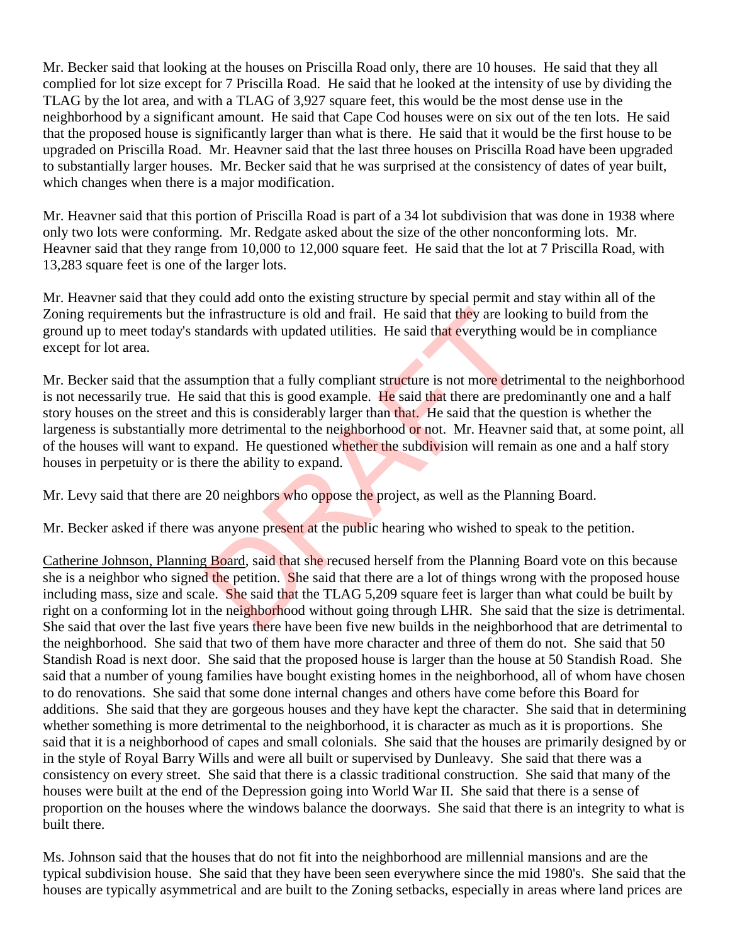Mr. Becker said that looking at the houses on Priscilla Road only, there are 10 houses. He said that they all complied for lot size except for 7 Priscilla Road. He said that he looked at the intensity of use by dividing the TLAG by the lot area, and with a TLAG of 3,927 square feet, this would be the most dense use in the neighborhood by a significant amount. He said that Cape Cod houses were on six out of the ten lots. He said that the proposed house is significantly larger than what is there. He said that it would be the first house to be upgraded on Priscilla Road. Mr. Heavner said that the last three houses on Priscilla Road have been upgraded to substantially larger houses. Mr. Becker said that he was surprised at the consistency of dates of year built, which changes when there is a major modification.

Mr. Heavner said that this portion of Priscilla Road is part of a 34 lot subdivision that was done in 1938 where only two lots were conforming. Mr. Redgate asked about the size of the other nonconforming lots. Mr. Heavner said that they range from 10,000 to 12,000 square feet. He said that the lot at 7 Priscilla Road, with 13,283 square feet is one of the larger lots.

Mr. Heavner said that they could add onto the existing structure by special permit and stay within all of the Zoning requirements but the infrastructure is old and frail. He said that they are looking to build from the ground up to meet today's standards with updated utilities. He said that everything would be in compliance except for lot area.

Mr. Becker said that the assumption that a fully compliant structure is not more detrimental to the neighborhood is not necessarily true. He said that this is good example. He said that there are predominantly one and a half story houses on the street and this is considerably larger than that. He said that the question is whether the largeness is substantially more detrimental to the neighborhood or not. Mr. Heavner said that, at some point, all of the houses will want to expand. He questioned whether the subdivision will remain as one and a half story houses in perpetuity or is there the ability to expand. is infrastructure is old and frail. He said that they are look<br>andards with updated utilities. He said that everything w<br>umption that a fully compliant structure is not more detri-<br>aid that this is good example. He said th

Mr. Levy said that there are 20 neighbors who oppose the project, as well as the Planning Board.

Mr. Becker asked if there was anyone present at the public hearing who wished to speak to the petition.

Catherine Johnson, Planning Board, said that she recused herself from the Planning Board vote on this because she is a neighbor who signed the petition. She said that there are a lot of things wrong with the proposed house including mass, size and scale. She said that the TLAG 5,209 square feet is larger than what could be built by right on a conforming lot in the neighborhood without going through LHR. She said that the size is detrimental. She said that over the last five years there have been five new builds in the neighborhood that are detrimental to the neighborhood. She said that two of them have more character and three of them do not. She said that 50 Standish Road is next door. She said that the proposed house is larger than the house at 50 Standish Road. She said that a number of young families have bought existing homes in the neighborhood, all of whom have chosen to do renovations. She said that some done internal changes and others have come before this Board for additions. She said that they are gorgeous houses and they have kept the character. She said that in determining whether something is more detrimental to the neighborhood, it is character as much as it is proportions. She said that it is a neighborhood of capes and small colonials. She said that the houses are primarily designed by or in the style of Royal Barry Wills and were all built or supervised by Dunleavy. She said that there was a consistency on every street. She said that there is a classic traditional construction. She said that many of the houses were built at the end of the Depression going into World War II. She said that there is a sense of proportion on the houses where the windows balance the doorways. She said that there is an integrity to what is built there.

Ms. Johnson said that the houses that do not fit into the neighborhood are millennial mansions and are the typical subdivision house. She said that they have been seen everywhere since the mid 1980's. She said that the houses are typically asymmetrical and are built to the Zoning setbacks, especially in areas where land prices are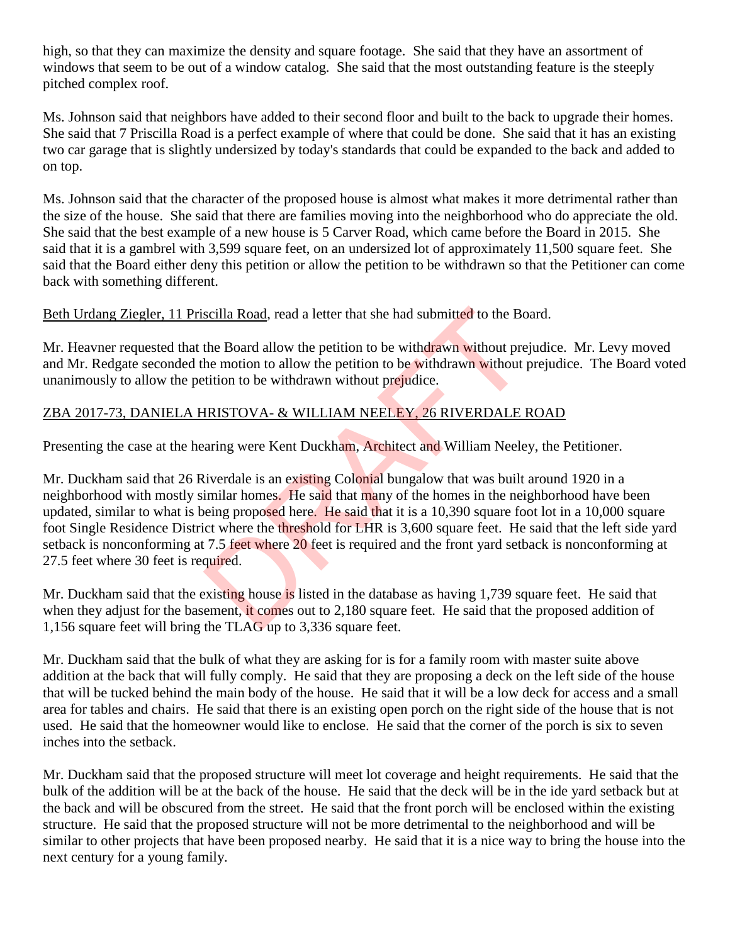high, so that they can maximize the density and square footage. She said that they have an assortment of windows that seem to be out of a window catalog. She said that the most outstanding feature is the steeply pitched complex roof.

Ms. Johnson said that neighbors have added to their second floor and built to the back to upgrade their homes. She said that 7 Priscilla Road is a perfect example of where that could be done. She said that it has an existing two car garage that is slightly undersized by today's standards that could be expanded to the back and added to on top.

Ms. Johnson said that the character of the proposed house is almost what makes it more detrimental rather than the size of the house. She said that there are families moving into the neighborhood who do appreciate the old. She said that the best example of a new house is 5 Carver Road, which came before the Board in 2015. She said that it is a gambrel with 3,599 square feet, on an undersized lot of approximately 11,500 square feet. She said that the Board either deny this petition or allow the petition to be withdrawn so that the Petitioner can come back with something different.

Beth Urdang Ziegler, 11 Priscilla Road, read a letter that she had submitted to the Board.

Mr. Heavner requested that the Board allow the petition to be withdrawn without prejudice. Mr. Levy moved and Mr. Redgate seconded the motion to allow the petition to be withdrawn without prejudice. The Board voted unanimously to allow the petition to be withdrawn without prejudice.

## ZBA 2017-73, DANIELA HRISTOVA- & WILLIAM NEELEY, 26 RIVERDALE ROAD

Presenting the case at the hearing were Kent Duckham, Architect and William Neeley, the Petitioner.

Mr. Duckham said that 26 Riverdale is an existing Colonial bungalow that was built around 1920 in a neighborhood with mostly similar homes. He said that many of the homes in the neighborhood have been updated, similar to what is being proposed here. He said that it is a 10,390 square foot lot in a 10,000 square foot Single Residence District where the threshold for LHR is 3,600 square feet. He said that the left side yard setback is nonconforming at 7.5 feet where 20 feet is required and the front vard setback is nonconforming at 27.5 feet where 30 feet is required. scilla Road, read a letter that she had submitted to the Bo<br>the Board allow the petition to be withdrawn without pre<br>he motion to allow the petition to be withdrawn without i<br>tition to be withdrawn without prejudice.<br>IRIST

Mr. Duckham said that the existing house is listed in the database as having 1,739 square feet. He said that when they adjust for the basement, it comes out to 2,180 square feet. He said that the proposed addition of 1,156 square feet will bring the TLAG up to 3,336 square feet.

Mr. Duckham said that the bulk of what they are asking for is for a family room with master suite above addition at the back that will fully comply. He said that they are proposing a deck on the left side of the house that will be tucked behind the main body of the house. He said that it will be a low deck for access and a small area for tables and chairs. He said that there is an existing open porch on the right side of the house that is not used. He said that the homeowner would like to enclose. He said that the corner of the porch is six to seven inches into the setback.

Mr. Duckham said that the proposed structure will meet lot coverage and height requirements. He said that the bulk of the addition will be at the back of the house. He said that the deck will be in the ide yard setback but at the back and will be obscured from the street. He said that the front porch will be enclosed within the existing structure. He said that the proposed structure will not be more detrimental to the neighborhood and will be similar to other projects that have been proposed nearby. He said that it is a nice way to bring the house into the next century for a young family.